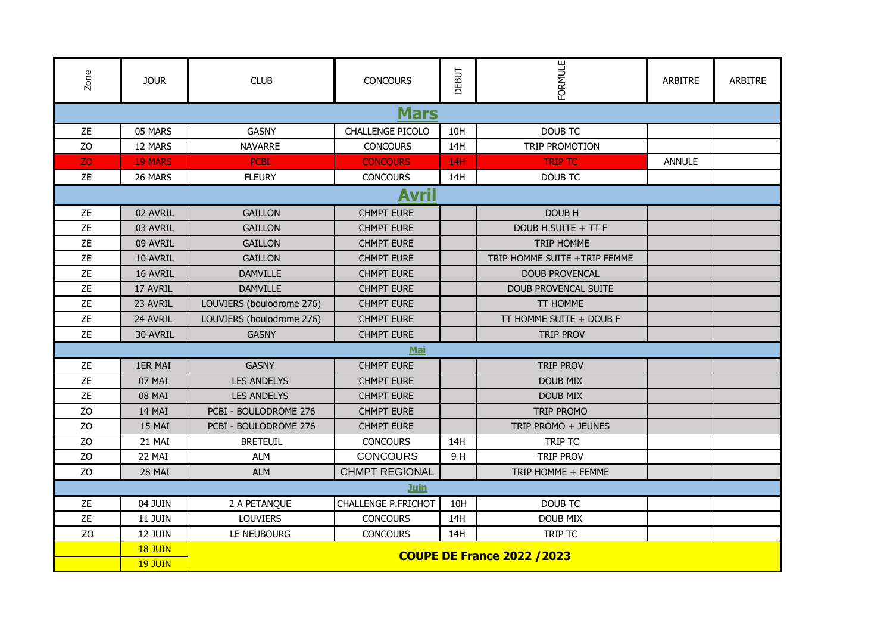| Zone           | <b>JOUR</b>    | <b>CLUB</b>                        | <b>CONCOURS</b>            | DEBUT      | FORMULE                      | <b>ARBITRE</b> | <b>ARBITRE</b> |  |  |  |  |  |
|----------------|----------------|------------------------------------|----------------------------|------------|------------------------------|----------------|----------------|--|--|--|--|--|
| <b>Mars</b>    |                |                                    |                            |            |                              |                |                |  |  |  |  |  |
| <b>ZE</b>      | 05 MARS        | <b>GASNY</b>                       | CHALLENGE PICOLO           | 10H        | <b>DOUB TC</b>               |                |                |  |  |  |  |  |
| ZO             | 12 MARS        | <b>NAVARRE</b>                     | <b>CONCOURS</b>            | 14H        | TRIP PROMOTION               |                |                |  |  |  |  |  |
| ZO.            | <b>19 MARS</b> | <b>PCBI</b>                        | <b>CONCOURS</b>            | <b>14H</b> | <b>TRIP TC</b>               | <b>ANNULE</b>  |                |  |  |  |  |  |
| ZE             | 26 MARS        | <b>FLEURY</b>                      | <b>CONCOURS</b>            | 14H        | <b>DOUB TC</b>               |                |                |  |  |  |  |  |
| Avril          |                |                                    |                            |            |                              |                |                |  |  |  |  |  |
| ZE             | 02 AVRIL       | <b>GAILLON</b>                     | <b>CHMPT EURE</b>          |            | DOUB H                       |                |                |  |  |  |  |  |
| <b>ZE</b>      | 03 AVRIL       | <b>GAILLON</b>                     | <b>CHMPT EURE</b>          |            | DOUB H SUITE + TT F          |                |                |  |  |  |  |  |
| <b>ZE</b>      | 09 AVRIL       | <b>GAILLON</b>                     | <b>CHMPT EURE</b>          |            | <b>TRIP HOMME</b>            |                |                |  |  |  |  |  |
| ZE             | 10 AVRIL       | <b>GAILLON</b>                     | <b>CHMPT EURE</b>          |            | TRIP HOMME SUITE +TRIP FEMME |                |                |  |  |  |  |  |
| <b>ZE</b>      | 16 AVRIL       | <b>DAMVILLE</b>                    | <b>CHMPT EURE</b>          |            | <b>DOUB PROVENCAL</b>        |                |                |  |  |  |  |  |
| ZE             | 17 AVRIL       | <b>DAMVILLE</b>                    | <b>CHMPT EURE</b>          |            | <b>DOUB PROVENCAL SUITE</b>  |                |                |  |  |  |  |  |
| <b>ZE</b>      | 23 AVRIL       | LOUVIERS (boulodrome 276)          | <b>CHMPT EURE</b>          |            | TT HOMME                     |                |                |  |  |  |  |  |
| ZE             | 24 AVRIL       | LOUVIERS (boulodrome 276)          | <b>CHMPT EURE</b>          |            | TT HOMME SUITE + DOUB F      |                |                |  |  |  |  |  |
| <b>ZE</b>      | 30 AVRIL       | <b>GASNY</b>                       | <b>CHMPT EURE</b>          |            | <b>TRIP PROV</b>             |                |                |  |  |  |  |  |
|                |                |                                    | Mai                        |            |                              |                |                |  |  |  |  |  |
| ZE             | 1ER MAI        | <b>GASNY</b>                       | <b>CHMPT EURE</b>          |            | <b>TRIP PROV</b>             |                |                |  |  |  |  |  |
| ZE             | 07 MAI         | <b>LES ANDELYS</b>                 | <b>CHMPT EURE</b>          |            | <b>DOUB MIX</b>              |                |                |  |  |  |  |  |
| ZE             | 08 MAI         | <b>LES ANDELYS</b>                 | <b>CHMPT EURE</b>          |            | <b>DOUB MIX</b>              |                |                |  |  |  |  |  |
| Z <sub>O</sub> | 14 MAI         | PCBI - BOULODROME 276              | <b>CHMPT EURE</b>          |            | TRIP PROMO                   |                |                |  |  |  |  |  |
| Z <sub>O</sub> | 15 MAI         | PCBI - BOULODROME 276              | <b>CHMPT EURE</b>          |            | TRIP PROMO + JEUNES          |                |                |  |  |  |  |  |
| Z <sub>O</sub> | 21 MAI         | <b>BRETEUIL</b>                    | <b>CONCOURS</b>            | 14H        | TRIP TC                      |                |                |  |  |  |  |  |
| ZO             | 22 MAI         | <b>ALM</b>                         | <b>CONCOURS</b>            | 9H         | <b>TRIP PROV</b>             |                |                |  |  |  |  |  |
| ZO             | 28 MAI         | <b>ALM</b>                         | <b>CHMPT REGIONAL</b>      |            | TRIP HOMME + FEMME           |                |                |  |  |  |  |  |
|                |                |                                    | Juin                       |            |                              |                |                |  |  |  |  |  |
| <b>ZE</b>      | 04 JUIN        | 2 A PETANQUE                       | <b>CHALLENGE P.FRICHOT</b> | 10H        | <b>DOUB TC</b>               |                |                |  |  |  |  |  |
| ZE             | 11 JUIN        | <b>LOUVIERS</b>                    | <b>CONCOURS</b>            | 14H        | <b>DOUB MIX</b>              |                |                |  |  |  |  |  |
| ZO             | 12 JUIN        | LE NEUBOURG                        | <b>CONCOURS</b>            | 14H        | TRIP TC                      |                |                |  |  |  |  |  |
|                | <b>18 JUIN</b> | <b>COUPE DE France 2022 / 2023</b> |                            |            |                              |                |                |  |  |  |  |  |
|                | <b>19 JUIN</b> |                                    |                            |            |                              |                |                |  |  |  |  |  |